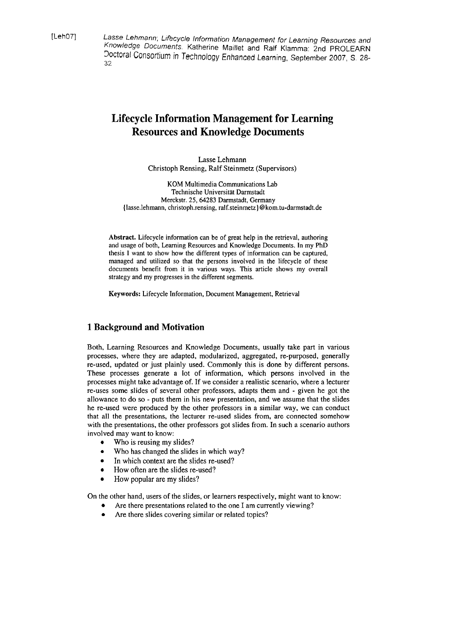[LehOT] Lasse Lehmann; Lifecycle Information Management for Learning Resources and Knowledge Documents. Katherine Maillet and Ralf Kiamma: 2nd PROLEARN Doctoral Consortium in Technology Enhanced Learning, September 2007, S. 28-32

# **Lifecycle Information Management for Learning Resources and Knowledge Documents**

Lasse Lehmann Christoph Rensing, Ralf Steinmetz (Supervisors)

KOM Multimedia Communications Lab Technische Universität Darmstadt Merckstr. 25,64283 Darmstadt, Germany (lasse.lehmann, christoph.rensing, ralf.steinmetz) @kom.tu-darmstadt.de

Abstract. Lifecycle information can be of great help in the retrieval, authoring and usage of both, Learning Resources and Knowledge Documents. In my PhD thesis **1** Want to show how the different types of information can be captured, managed and utilized so that the persons involved in the lifecycle of these documents benefit from it in various ways. **This** article shows my overall strategy and my progresses in the different segments.

Keywords: Lifecycle Information, Document Management, Retrieval

# **1 Background and Motivation**

Both, Learning Resources and Knowledge Documents, usually take part in various processes, where they are adapted, modularized, aggregated, re-purposed, generally re-used, updated or just plainly used. Commonly this is done by different persons. These processes generate a lot of information, which persons involved in the processes might take advantage of. If we consider a realistic scenario, where a lecturer re-uses some slides of several other professors, adapts them and - given he got the allowance to do so - puts them in his new presentation, and we assume that the slides he re-used were produced by the other professors in a similar way, we can conduct that all the presentations, the lecturer re-used slides from, are connected somehow with the presentations, the other professors got slides from. In such a scenario authors involved may Want to know:

- $\bullet$ Who is reusing my slides?
- Who has changed the slides in which way?
- In which context are the slides re-used?
- How often are the slides re-used?
- How popular are my slides?

On the other hand, Users of the slides, or learners respectively, might Want to know:

- Are there presentations related to the one I am currently viewing?
- Are there slides covering similar or related topics?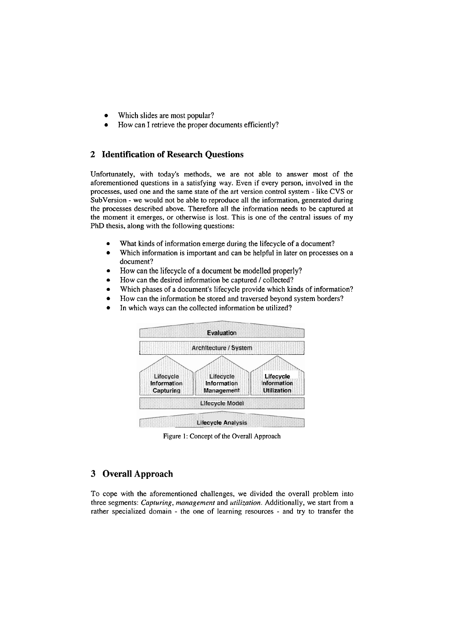- Which slides are most popular?  $\bullet$
- How can I retrieve the proper documents efficiently?

## **2 Identification of Research Questions**

Unfortunately, with today's methods, we are not able to answer most of the aforementioned questions in a satisfying way. Even if every person, involved in the processes, used one and the same state of the art version control system - like CVS or SubVersion - we would not be able to reproduce all the information, generated during the processes described above. Therefore all the information needs to be captured at the moment it emerges, or otherwise is lost. This is one of the central issues of my PhD thesis, along with the following questions:

- What kinds of information emerge during the lifecycle of a document?  $\bullet$
- Which information is important and can be helpful in later on processes on a document?
- How can the lifecycle of a document be modelled properly?  $\bullet$
- How can the desired information be captured / collected?
- Which phases of a document's lifecycle provide which kinds of information?  $\bullet$
- $\bullet$ How can the information be stored and traversed beyond system borders?
- In which ways can the collected information be utilized?



Figure 1: Concept of the Overall Approach

### **3 Overall Approach**

To cope with the aforementioned challenges, we divided the overall problem into three Segments: *Capturing, management* and *utilization.* Additionally, we start from a rather specialized domain - the one of learning resources - and try to transfer the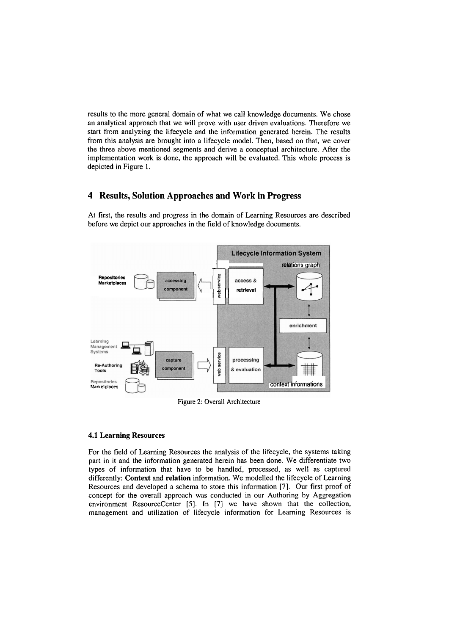results to the more general domain of what we call knowledge documents. We chose an analytical approach that we will prove with User driven evaluations. Therefore we start from analyzing the lifecycle and the information generated herein. The results from this analysis are brought into a lifecycle model. Then, based on that, we Cover the three above mentioned Segments and derive a conceptual architecture. After the implementation work is done, the approach will be evaluated. This whole process is depicted in Figure 1.

### **4 Results, Solution Approaches and Work in Progress**

At first, the results and Progress in the domain of Learning Resources are described before we depict our approaches in the field of knowledge documents.



Figure 2: Overall Architecture

#### **4.1 Learning Resources**

For the field of Learning Resources the analysis of the lifecycle, the systems taking Part in it and the information generated herein has been done. We differentiate two types of information that have to be handled, processed, as well as captured differently: **Context** and **relation** information. We modelled the lifecycle of Learning Resources and developed a schema to store this information [7]. Our first proof of concept for the overall approach was conducted in our Authoring by Aggregation environment ResourceCenter **[5].** In [7] we have shown that the collection, management and utilization of lifecycle information for Learning Resources is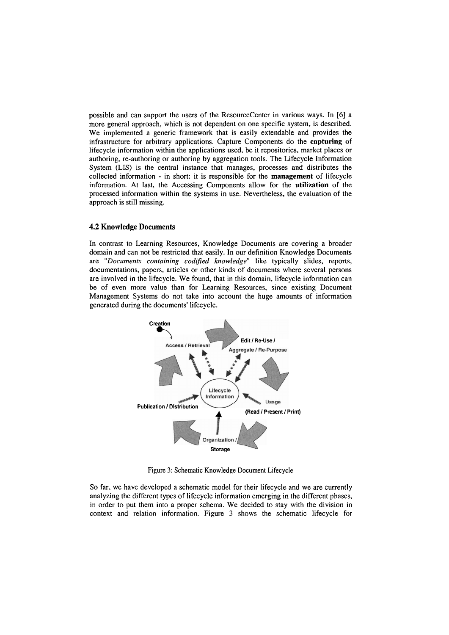possible and can Support the Users of the ResourceCenter in various ways. In [6] a more general approach, which is not dependent on one specific System, is described. We implemented a generic framework that is easily extendable and provides the infrastructure for arbitrary applications. Capture Components do the **capturing** of lifecycle information within the applications used, be it repositories, market places or authoring, re-authoring or authoring by aggregation tools. The Lifecycle Information System (LIS) is the central instance that manages, processes and distributes the collected information - in short: it is responsible for the **management** of lifecycle information. At last, the Accessing Components allow for the **utilization** of the processed information within the Systems in use. Nevertheless, the evaluation of the approach is still missing.

#### **4.2 Knowledge Documents**

In contrast to Learning Resources, Knowledge Documents are covering a broader domain and can not be restricted that easily. In our definition Knowledge Documents are *"Documents containing codified knowledge"* like typically slides, reports, documentations, papers, articles or other kinds of documents where several persons are involved in the lifecycle. We found, that in this domain, lifecycle information can be of even more value than for Learning Resources, since existing Document Management Systems do not take into account the huge amounts of information generated during the docurnents' lifecycle.



Figure **3:** Schematic Knowledge Document Lifecycle

So far, we have developed a schematic model for their lifecycle and we are currently analyzing the different types of lifecycle information emerging in the different phases, in order to put them into a proper Schema. We decided to stay with the division in context and relation information. Figure **3** shows the schematic lifecycle for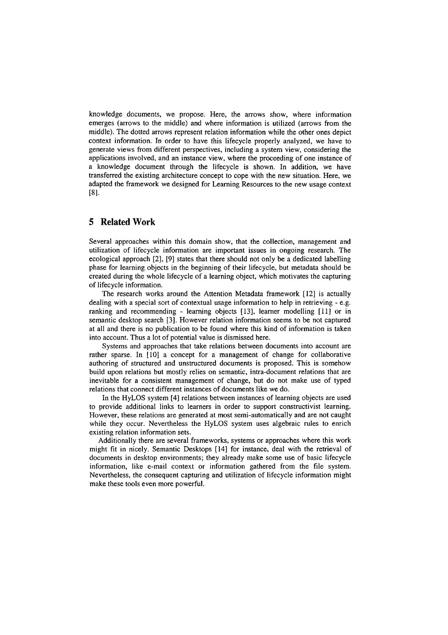knowledge documents, we propose. Here, the arrows show, where information emerges (arrows to the middle) and where information is utilized (arrows from the middle). The dotted arrows represent relation information while the other ones depict context information. In order to have this lifecycle properly analyzed, we have to generate views from different perspectives, including a system view, considering the applications involved, and an instance view, where the proceeding of one instance of a knowledge document through the lifecycle is shown. In addition, we have transferred the existing architecture concept to cope with the new situation. Here, we adapted the framework we designed for Learning Resources to the new usage context BI.

# **5 Related Work**

Several approaches within this domain show, that the collection, management and utilization of lifecycle information are important issues in ongoing research. The ecological approach [2], **[9]** states that there should not only be a dedicated labelling phase for learning objects in the beginning of their lifecycle, but metadata should be created during the whole lifecycle of a learning object, which motivates the capturing of lifecycle information.

The research works around the Attention Metadata framework [12] is actually dealing with a special sort of contextual usage information to help in retrieving - e.g. ranking and recommending - learning objects [13], learner modelling [ll] or in semantic desktop search [3]. However relation information seems to be not captured at all and there is no publication to be found where this kind of information is taken into account. Thus a lot of potential value is dismissed here.

Systems and approaches that take relations between documents into account are rather sparse. In [10] a concept for a management of change for collaborative authoring of structured and unstructured documents is proposed. This is somehow build upon relations but mostly relies on semantic, intra-document relations that are inevitable for a consistent management of change, but do not make use of typed relations that connect different instances of documents like we do.

In the HyLOS system [4] relations between instances of learning objects are used to provide additional links to learners in order to Support constructivist learning. However, these relations are generated at most semi-automatically and are not caught while they occur. Nevertheless the HyLOS system uses algebraic rules to emich existing relation information Sets.

Additionally there are several frameworks, Systems or approaches where this work might fit in nicely. Semantic Desktops [14] for instance, deal with the retrieval of documents in desktop environments; they already make some use of basic lifecycle information, like e-mail context or information gathered from the file system. Nevertheless, the consequent capturing and utilization of lifecycle information might make these tools even more powerful.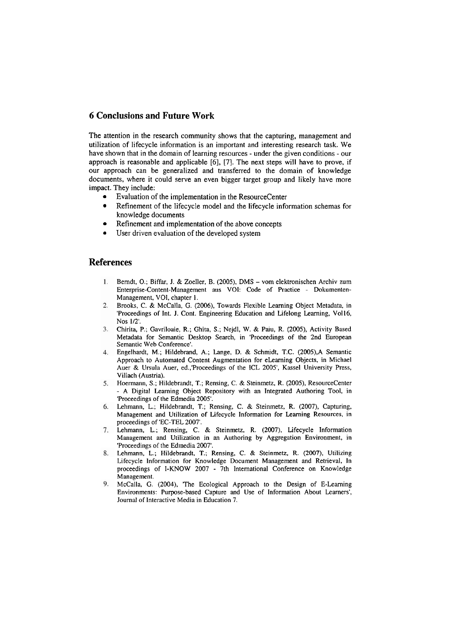# **6 Conclusions and Future Work**

The attention in the research community shows that the capturing, management and utilization of lifecycle information is an important and interesting research task. We have shown that in the domain of learning resources - under the given conditions - our approach is reasonable and applicable [6], [7]. The next steps will have to prove, if our approach can be generalized and transferred to the domain of knowledge documents, where it could serve an even bigger target group and likely have more impact. They include:

- Evaluation of the implementation in the ResourceCenter
- Refinement of the lifecycle model and the lifecycle information schemas for knowledge documents
- Refinement and implementation of the above concepts
- User driven evaluation of the developed System

### **References**

- $\mathbf{1}$ Bemdt, 0.; Biffar, J. & Zoeller, B. (2005), DMS - vom elektronischen Archiv zum Enterprise-Content-Management aus VOI: Code of Practice - Dokumenten-Management, VOI, chapter 1.
- Brooks, C. & McCalla, G. (2006), Towards Flexible Learning Object Metadata, in  $2.$ 'Proceedings of Jnt. J. Cont. Engineering Education and Lifelong Learning, Vo116, Nos 1/2'.
- $3.$ Chirita, P.; Gavriloaie, R.; Ghita, S.; Nejdl, W. & Paiu, R. (2005). Activity Based Metadata for Semantic Desktop Search, in 'Proceedings of the 2nd European Semantic Web Conference'.
- $4<sup>1</sup>$ Engelhardt, M.; Hildebrand, A.; Lange, D. & Schrnidt, T.C. (2005),A Semantic Approach to Automated Content Augmentation for eLearning Objects, in Michael Auer & Ursula Auer, ed.,'Proceedings of the ICL 2005', Kassel University Press, Villach (Austria).
- 5. Hoermann, S.; Hildebrandt, T.; Rensing, C. & Steinmetz, R. (2005), ResourceCenter - A Digital Leaming Object Repository with an lntegrated Authoring Tool, in 'Proceedings of the Edmedia 2005'.
- Lehmann, L.; Hildebrandt, T.; Rensing, C. & Steinmetz, R. (2007), Capturing, 6. Management and Utilization of Lifecycle lnformation for Learning Resources, in proceedings of 'EC-TEL 2007'.
- 7. Lehmann, L.; Rensing, C. & Steinmetz, R. (2007), Lifecycle Information Management and Utilization in an Authoring by Aggregation Environment, in 'Proceedings of the Edmedia 2007'.
- Lehmann, L.; Hildebrandt, T.; Rensing, *C.* & Steinmetz, R. **(2007).** Utilizing Lifecycle lnformation for Knowledge Document Management and Retrieval, In proceedings of I-KNOW 2007 - 7th International Conference on Knowledge Management.
- 9. McCalla, G. (2004). 'The Ecological Approach to the Design of E-Learning Environments: Purpose-based Capture and Use of Information About Learners', Journal of Interactive Media in Education 7.